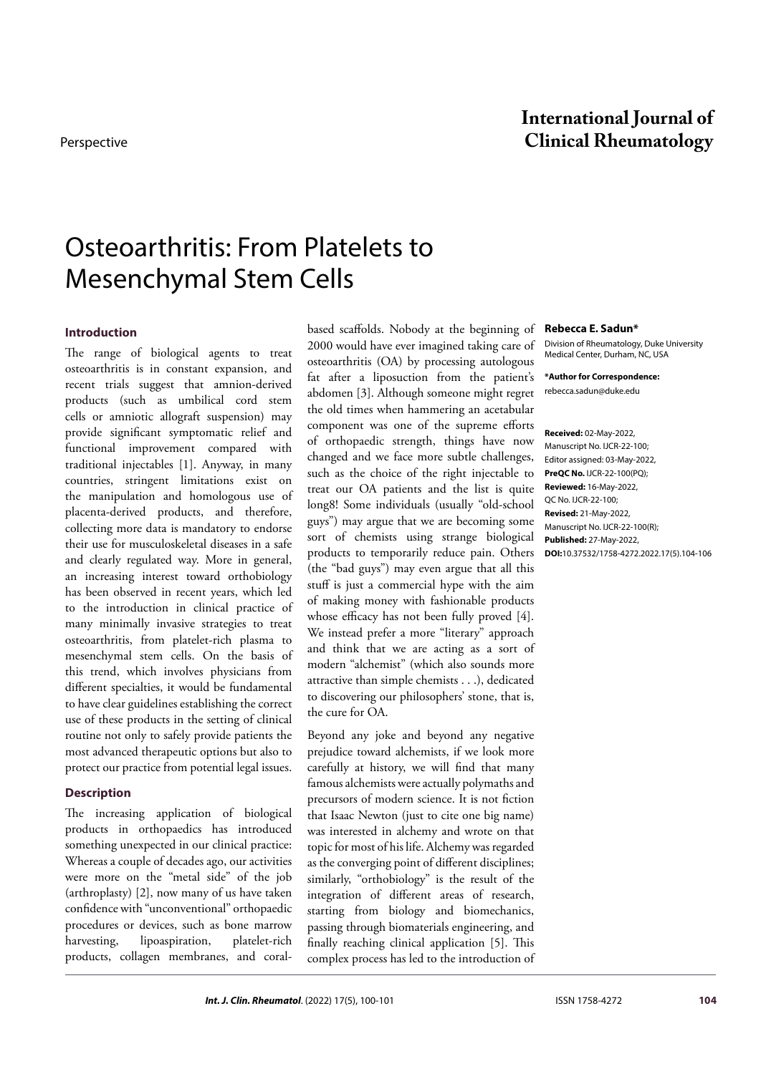## **International Journal of** Perspective **Clinical Rheumatology**

# Osteoarthritis: From Platelets to Mesenchymal Stem Cells

#### **Introduction**

The range of biological agents to treat osteoarthritis is in constant expansion, and recent trials suggest that amnion-derived products (such as umbilical cord stem cells or amniotic allograft suspension) may provide significant symptomatic relief and functional improvement compared with traditional injectables [1]. Anyway, in many countries, stringent limitations exist on the manipulation and homologous use of placenta-derived products, and therefore, collecting more data is mandatory to endorse their use for musculoskeletal diseases in a safe and clearly regulated way. More in general, an increasing interest toward orthobiology has been observed in recent years, which led to the introduction in clinical practice of many minimally invasive strategies to treat osteoarthritis, from platelet-rich plasma to mesenchymal stem cells. On the basis of this trend, which involves physicians from different specialties, it would be fundamental to have clear guidelines establishing the correct use of these products in the setting of clinical routine not only to safely provide patients the most advanced therapeutic options but also to protect our practice from potential legal issues.

#### **Description**

The increasing application of biological products in orthopaedics has introduced something unexpected in our clinical practice: Whereas a couple of decades ago, our activities were more on the "metal side" of the job (arthroplasty) [2], now many of us have taken confidence with "unconventional" orthopaedic procedures or devices, such as bone marrow harvesting, lipoaspiration, platelet-rich products, collagen membranes, and coralbased scaffolds. Nobody at the beginning of 2000 would have ever imagined taking care of osteoarthritis (OA) by processing autologous fat after a liposuction from the patient's abdomen [3]. Although someone might regret the old times when hammering an acetabular component was one of the supreme efforts of orthopaedic strength, things have now changed and we face more subtle challenges, such as the choice of the right injectable to treat our OA patients and the list is quite long8! Some individuals (usually "old-school guys") may argue that we are becoming some sort of chemists using strange biological products to temporarily reduce pain. Others (the "bad guys") may even argue that all this stuff is just a commercial hype with the aim of making money with fashionable products whose efficacy has not been fully proved [4]. We instead prefer a more "literary" approach and think that we are acting as a sort of modern "alchemist" (which also sounds more attractive than simple chemists . . .), dedicated to discovering our philosophers' stone, that is, the cure for OA.

Beyond any joke and beyond any negative prejudice toward alchemists, if we look more carefully at history, we will find that many famous alchemists were actually polymaths and precursors of modern science. It is not fiction that Isaac Newton (just to cite one big name) was interested in alchemy and wrote on that topic for most of his life. Alchemy was regarded as the converging point of different disciplines; similarly, "orthobiology" is the result of the integration of different areas of research, starting from biology and biomechanics, passing through biomaterials engineering, and finally reaching clinical application [5]. This complex process has led to the introduction of

#### **Rebecca E. Sadun\***

Division of Rheumatology, Duke University Medical Center, Durham, NC, USA

**\*Author for Correspondence:**  rebecca.sadun@duke.edu

**Received:** 02-May-2022, Manuscript No. IJCR-22-100; Editor assigned: 03-May-2022, **PreQC No.** IJCR-22-100(PQ); **Reviewed:** 16-May-2022, QC No. IJCR-22-100; **Revised:** 21-May-2022, Manuscript No. IJCR-22-100(R); **Published:** 27-May-2022, **DOI:**10.37532/1758-4272.2022.17(5).104-106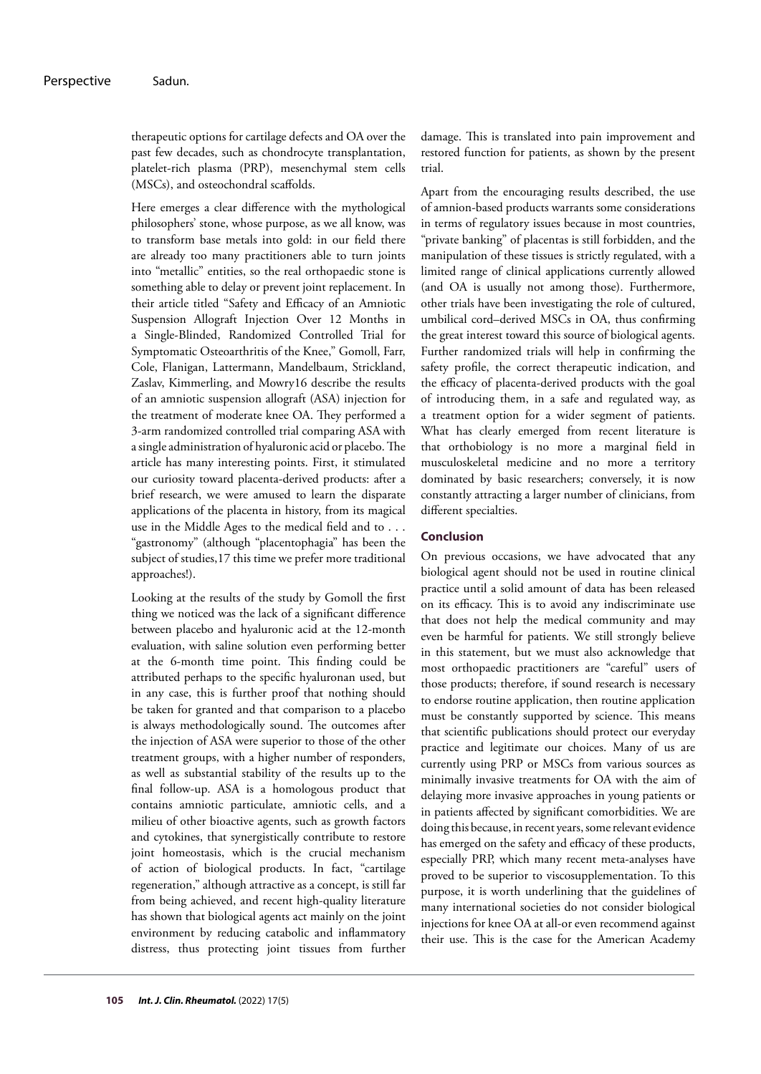therapeutic options for cartilage defects and OA over the past few decades, such as chondrocyte transplantation, platelet-rich plasma (PRP), mesenchymal stem cells (MSCs), and osteochondral scaffolds.

Here emerges a clear difference with the mythological philosophers' stone, whose purpose, as we all know, was to transform base metals into gold: in our field there are already too many practitioners able to turn joints into "metallic" entities, so the real orthopaedic stone is something able to delay or prevent joint replacement. In their article titled "Safety and Efficacy of an Amniotic Suspension Allograft Injection Over 12 Months in a Single-Blinded, Randomized Controlled Trial for Symptomatic Osteoarthritis of the Knee," Gomoll, Farr, Cole, Flanigan, Lattermann, Mandelbaum, Strickland, Zaslav, Kimmerling, and Mowry16 describe the results of an amniotic suspension allograft (ASA) injection for the treatment of moderate knee OA. They performed a 3-arm randomized controlled trial comparing ASA with a single administration of hyaluronic acid or placebo. The article has many interesting points. First, it stimulated our curiosity toward placenta-derived products: after a brief research, we were amused to learn the disparate applications of the placenta in history, from its magical use in the Middle Ages to the medical field and to . . . "gastronomy" (although "placentophagia" has been the subject of studies,17 this time we prefer more traditional approaches!).

Looking at the results of the study by Gomoll the first thing we noticed was the lack of a significant difference between placebo and hyaluronic acid at the 12-month evaluation, with saline solution even performing better at the 6-month time point. This finding could be attributed perhaps to the specific hyaluronan used, but in any case, this is further proof that nothing should be taken for granted and that comparison to a placebo is always methodologically sound. The outcomes after the injection of ASA were superior to those of the other treatment groups, with a higher number of responders, as well as substantial stability of the results up to the final follow-up. ASA is a homologous product that contains amniotic particulate, amniotic cells, and a milieu of other bioactive agents, such as growth factors and cytokines, that synergistically contribute to restore joint homeostasis, which is the crucial mechanism of action of biological products. In fact, "cartilage regeneration," although attractive as a concept, is still far from being achieved, and recent high-quality literature has shown that biological agents act mainly on the joint environment by reducing catabolic and inflammatory distress, thus protecting joint tissues from further

damage. This is translated into pain improvement and restored function for patients, as shown by the present trial.

Apart from the encouraging results described, the use of amnion-based products warrants some considerations in terms of regulatory issues because in most countries, "private banking" of placentas is still forbidden, and the manipulation of these tissues is strictly regulated, with a limited range of clinical applications currently allowed (and OA is usually not among those). Furthermore, other trials have been investigating the role of cultured, umbilical cord–derived MSCs in OA, thus confirming the great interest toward this source of biological agents. Further randomized trials will help in confirming the safety profile, the correct therapeutic indication, and the efficacy of placenta-derived products with the goal of introducing them, in a safe and regulated way, as a treatment option for a wider segment of patients. What has clearly emerged from recent literature is that orthobiology is no more a marginal field in musculoskeletal medicine and no more a territory dominated by basic researchers; conversely, it is now constantly attracting a larger number of clinicians, from different specialties.

### **Conclusion**

On previous occasions, we have advocated that any biological agent should not be used in routine clinical practice until a solid amount of data has been released on its efficacy. This is to avoid any indiscriminate use that does not help the medical community and may even be harmful for patients. We still strongly believe in this statement, but we must also acknowledge that most orthopaedic practitioners are "careful" users of those products; therefore, if sound research is necessary to endorse routine application, then routine application must be constantly supported by science. This means that scientific publications should protect our everyday practice and legitimate our choices. Many of us are currently using PRP or MSCs from various sources as minimally invasive treatments for OA with the aim of delaying more invasive approaches in young patients or in patients affected by significant comorbidities. We are doing this because, in recent years, some relevant evidence has emerged on the safety and efficacy of these products, especially PRP, which many recent meta-analyses have proved to be superior to viscosupplementation. To this purpose, it is worth underlining that the guidelines of many international societies do not consider biological injections for knee OA at all-or even recommend against their use. This is the case for the American Academy